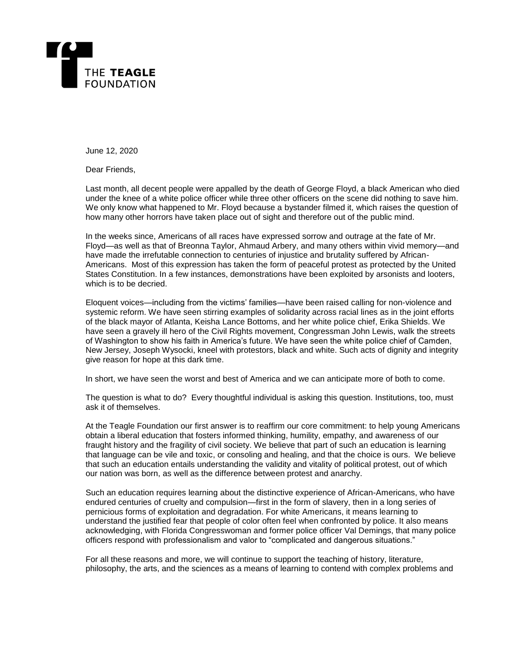

June 12, 2020

Dear Friends,

Last month, all decent people were appalled by the death of George Floyd, a black American who died under the knee of a white police officer while three other officers on the scene did nothing to save him. We only know what happened to Mr. Floyd because a bystander filmed it, which raises the question of how many other horrors have taken place out of sight and therefore out of the public mind.

In the weeks since, Americans of all races have expressed sorrow and outrage at the fate of Mr. Floyd—as well as that of Breonna Taylor, Ahmaud Arbery, and many others within vivid memory—and have made the irrefutable connection to centuries of injustice and brutality suffered by African-Americans. Most of this expression has taken the form of peaceful protest as protected by the United States Constitution. In a few instances, demonstrations have been exploited by arsonists and looters, which is to be decried.

Eloquent voices—including from the victims' families—have been raised calling for non-violence and systemic reform. We have seen stirring examples of solidarity across racial lines as in the joint efforts of the black mayor of Atlanta, Keisha Lance Bottoms, and her white police chief, Erika Shields. We have seen a gravely ill hero of the Civil Rights movement, Congressman John Lewis, walk the streets of Washington to show his faith in America's future. We have seen the white police chief of Camden, New Jersey, Joseph Wysocki, kneel with protestors, black and white. Such acts of dignity and integrity give reason for hope at this dark time.

In short, we have seen the worst and best of America and we can anticipate more of both to come.

The question is what to do? Every thoughtful individual is asking this question. Institutions, too, must ask it of themselves.

At the Teagle Foundation our first answer is to reaffirm our core commitment: to help young Americans obtain a liberal education that fosters informed thinking, humility, empathy, and awareness of our fraught history and the fragility of civil society. We believe that part of such an education is learning that language can be vile and toxic, or consoling and healing, and that the choice is ours. We believe that such an education entails understanding the validity and vitality of political protest, out of which our nation was born, as well as the difference between protest and anarchy.

Such an education requires learning about the distinctive experience of African-Americans, who have endured centuries of cruelty and compulsion—first in the form of slavery, then in a long series of pernicious forms of exploitation and degradation. For white Americans, it means learning to understand the justified fear that people of color often feel when confronted by police. It also means acknowledging, with Florida Congresswoman and former police officer Val Demings, that many police officers respond with professionalism and valor to "complicated and dangerous situations."

For all these reasons and more, we will continue to support the teaching of history, literature, philosophy, the arts, and the sciences as a means of learning to contend with complex problems and